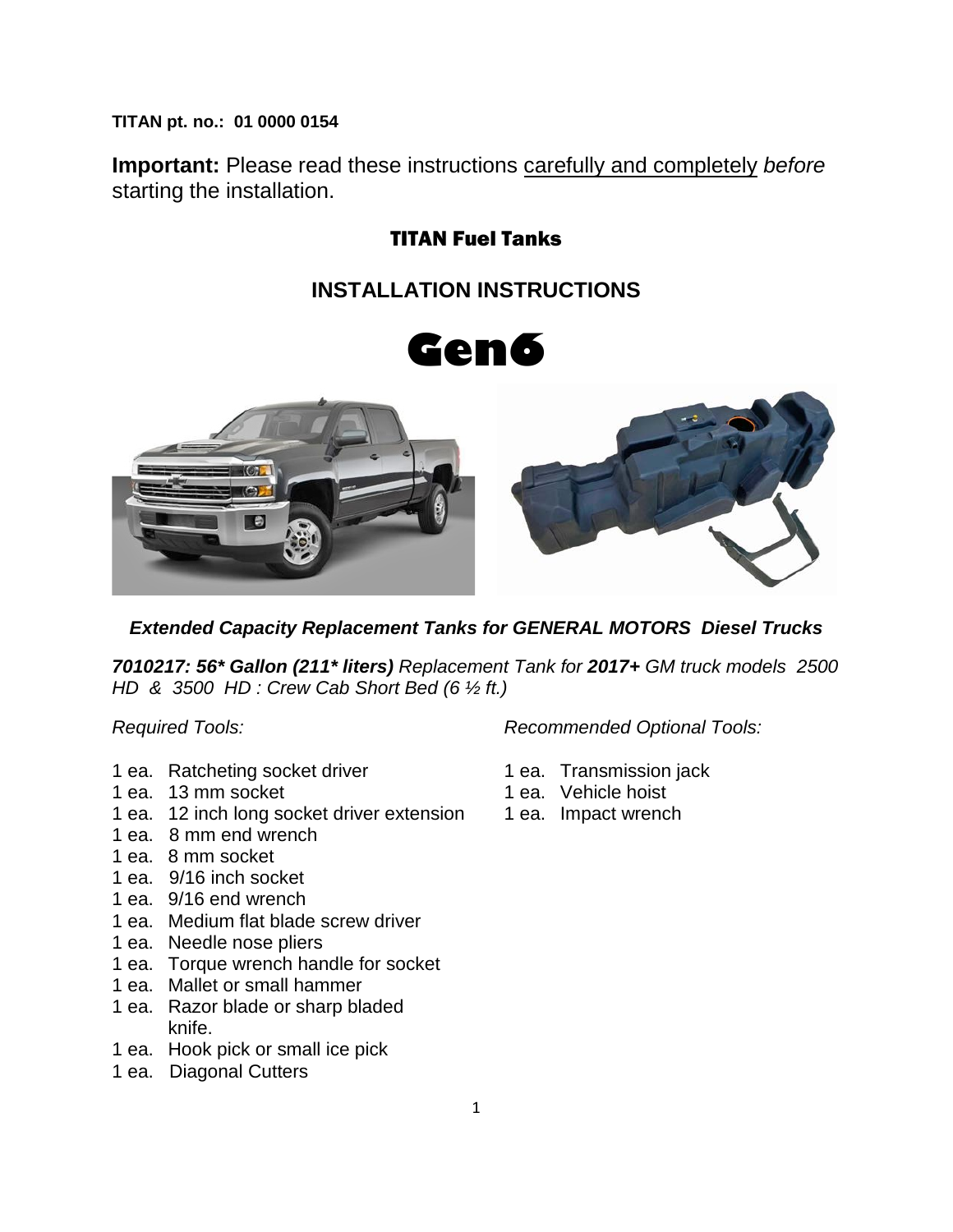**TITAN pt. no.: 01 0000 0154**

**Important:** Please read these instructions carefully and completely *before* starting the installation.

### TITAN Fuel Tanks

## **INSTALLATION INSTRUCTIONS**





### *Extended Capacity Replacement Tanks for GENERAL MOTORS Diesel Trucks*

*7010217: 56\* Gallon (211\* liters) Replacement Tank for 2017+ GM truck models 2500 HD & 3500 HD : Crew Cab Short Bed (6 ½ ft.)*

- 1 ea. Ratcheting socket driver 1 ea. Transmission jack<br>1 ea. 13 mm socket 1 ea. Vehicle hoist
- 1 ea. 13 mm socket
- 1 ea. 12 inch long socket driver extension 1 ea. Impact wrench
- 1 ea. 8 mm end wrench
- 1 ea. 8 mm socket
- 1 ea. 9/16 inch socket
- 1 ea. 9/16 end wrench
- 1 ea. Medium flat blade screw driver
- 1 ea. Needle nose pliers
- 1 ea. Torque wrench handle for socket
- 1 ea. Mallet or small hammer
- 1 ea. Razor blade or sharp bladed knife.
- 1 ea. Hook pick or small ice pick
- 1 ea. Diagonal Cutters

*Required Tools: Recommended Optional Tools:*

- 
- 
-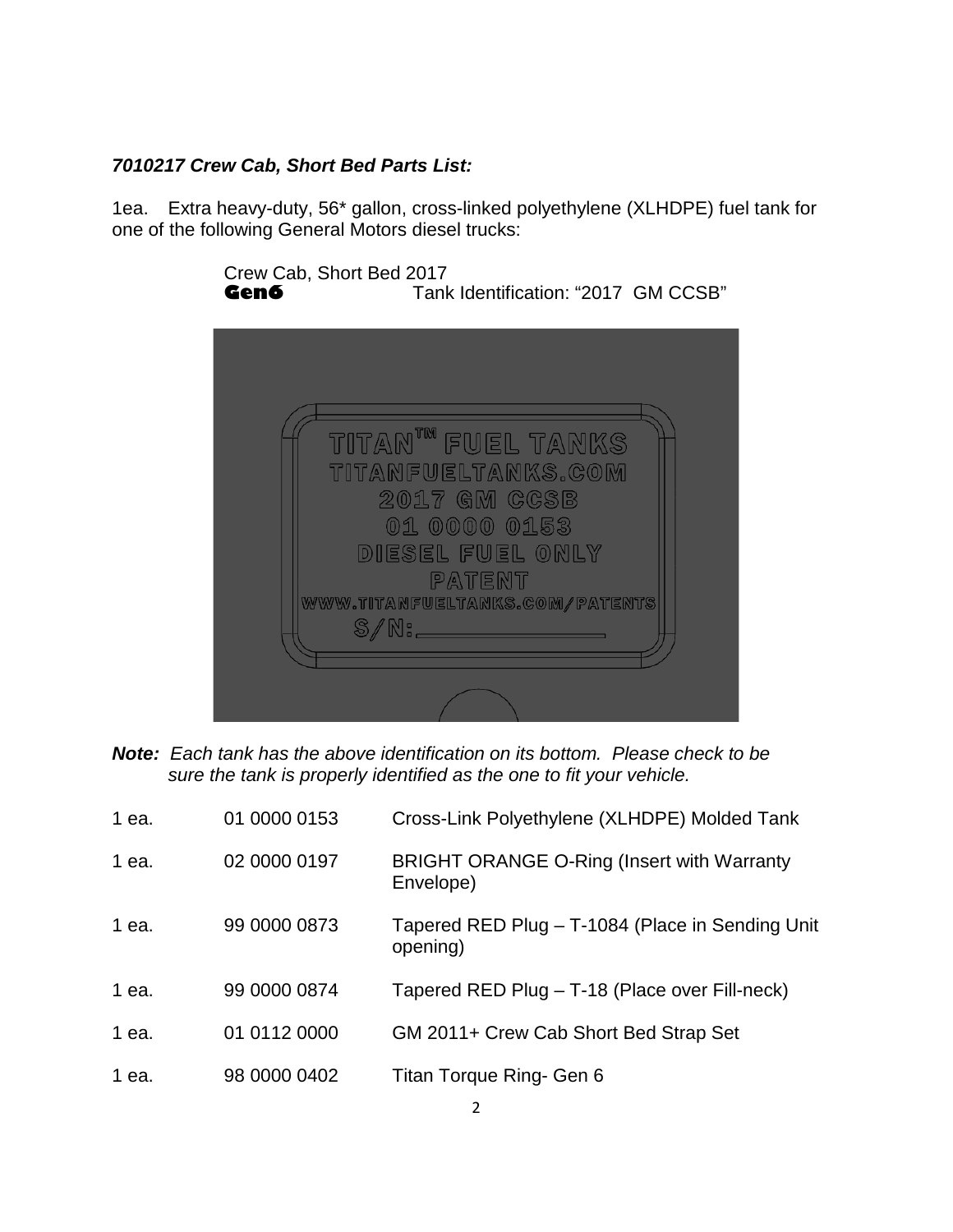### *7010217 Crew Cab, Short Bed Parts List:*

1ea. Extra heavy-duty, 56\* gallon, cross-linked polyethylene (XLHDPE) fuel tank for one of the following General Motors diesel trucks:

> Crew Cab, Short Bed 2017<br>Gen6 Tank Tank Identification: "2017 GM CCSB" TITAN<sup>tm</sup> FUEL TANKS TITANFUELTANKS.COM 2017 GM CCSB 01 0000 0153 DIESEL FUEL ONLY PATENT WWW.TITANFUELTANKS.COM/PATENTS  $\mathbb{S}/\mathbb{N}$ :

*Note: Each tank has the above identification on its bottom. Please check to be sure the tank is properly identified as the one to fit your vehicle.*

| 1 ea. | 01 0000 0153 | Cross-Link Polyethylene (XLHDPE) Molded Tank                   |
|-------|--------------|----------------------------------------------------------------|
| 1 ea. | 02 0000 0197 | <b>BRIGHT ORANGE O-Ring (Insert with Warranty</b><br>Envelope) |
| 1 ea. | 99 0000 0873 | Tapered RED Plug - T-1084 (Place in Sending Unit<br>opening)   |
| 1 ea. | 99 0000 0874 | Tapered RED Plug - T-18 (Place over Fill-neck)                 |
| 1 ea. | 01 0112 0000 | GM 2011+ Crew Cab Short Bed Strap Set                          |
| 1 ea. | 98 0000 0402 | Titan Torque Ring- Gen 6                                       |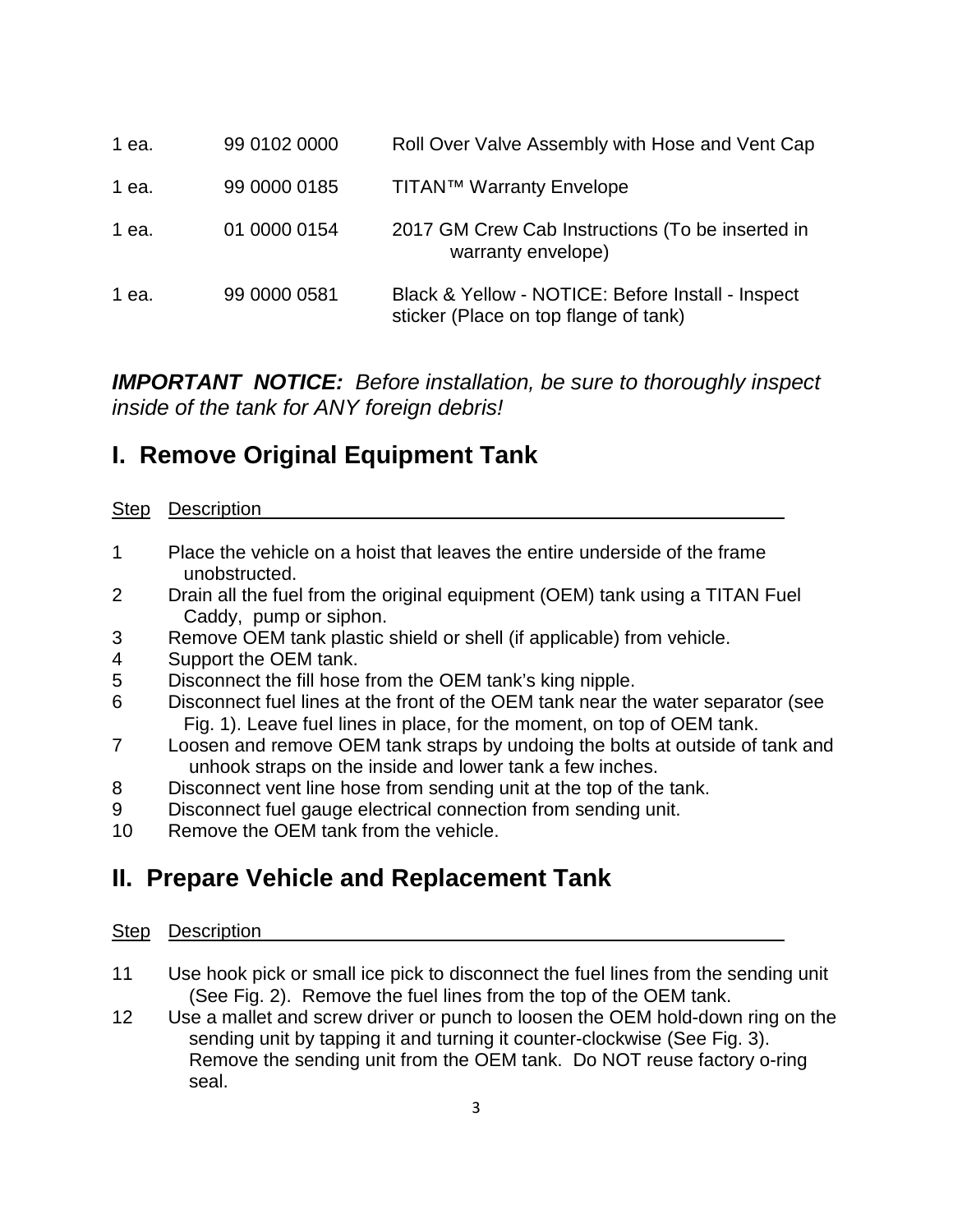| 1 ea. | 99 0102 0000 | Roll Over Valve Assembly with Hose and Vent Cap                                            |
|-------|--------------|--------------------------------------------------------------------------------------------|
| 1 ea. | 99 0000 0185 | <b>TITAN™ Warranty Envelope</b>                                                            |
| 1 ea. | 01 0000 0154 | 2017 GM Crew Cab Instructions (To be inserted in<br>warranty envelope)                     |
| 1 ea. | 99 0000 0581 | Black & Yellow - NOTICE: Before Install - Inspect<br>sticker (Place on top flange of tank) |

*IMPORTANT NOTICE: Before installation, be sure to thoroughly inspect inside of the tank for ANY foreign debris!* 

## **I. Remove Original Equipment Tank**

### Step Description

- 1 Place the vehicle on a hoist that leaves the entire underside of the frame unobstructed.
- 2 Drain all the fuel from the original equipment (OEM) tank using a TITAN Fuel Caddy, pump or siphon.
- 3 Remove OEM tank plastic shield or shell (if applicable) from vehicle.
- 4 Support the OEM tank.
- 5 Disconnect the fill hose from the OEM tank's king nipple.<br>6 Disconnect fuel lines at the front of the OEM tank near the
- Disconnect fuel lines at the front of the OEM tank near the water separator (see Fig. 1). Leave fuel lines in place, for the moment, on top of OEM tank.
- 7 Loosen and remove OEM tank straps by undoing the bolts at outside of tank and unhook straps on the inside and lower tank a few inches.
- 8 Disconnect vent line hose from sending unit at the top of the tank.
- 9 Disconnect fuel gauge electrical connection from sending unit.
- 10 Remove the OEM tank from the vehicle.

# **II. Prepare Vehicle and Replacement Tank**

### Step Description

- 11 Use hook pick or small ice pick to disconnect the fuel lines from the sending unit (See Fig. 2). Remove the fuel lines from the top of the OEM tank.
- 12 Use a mallet and screw driver or punch to loosen the OEM hold-down ring on the sending unit by tapping it and turning it counter-clockwise (See Fig. 3). Remove the sending unit from the OEM tank. Do NOT reuse factory o-ring seal.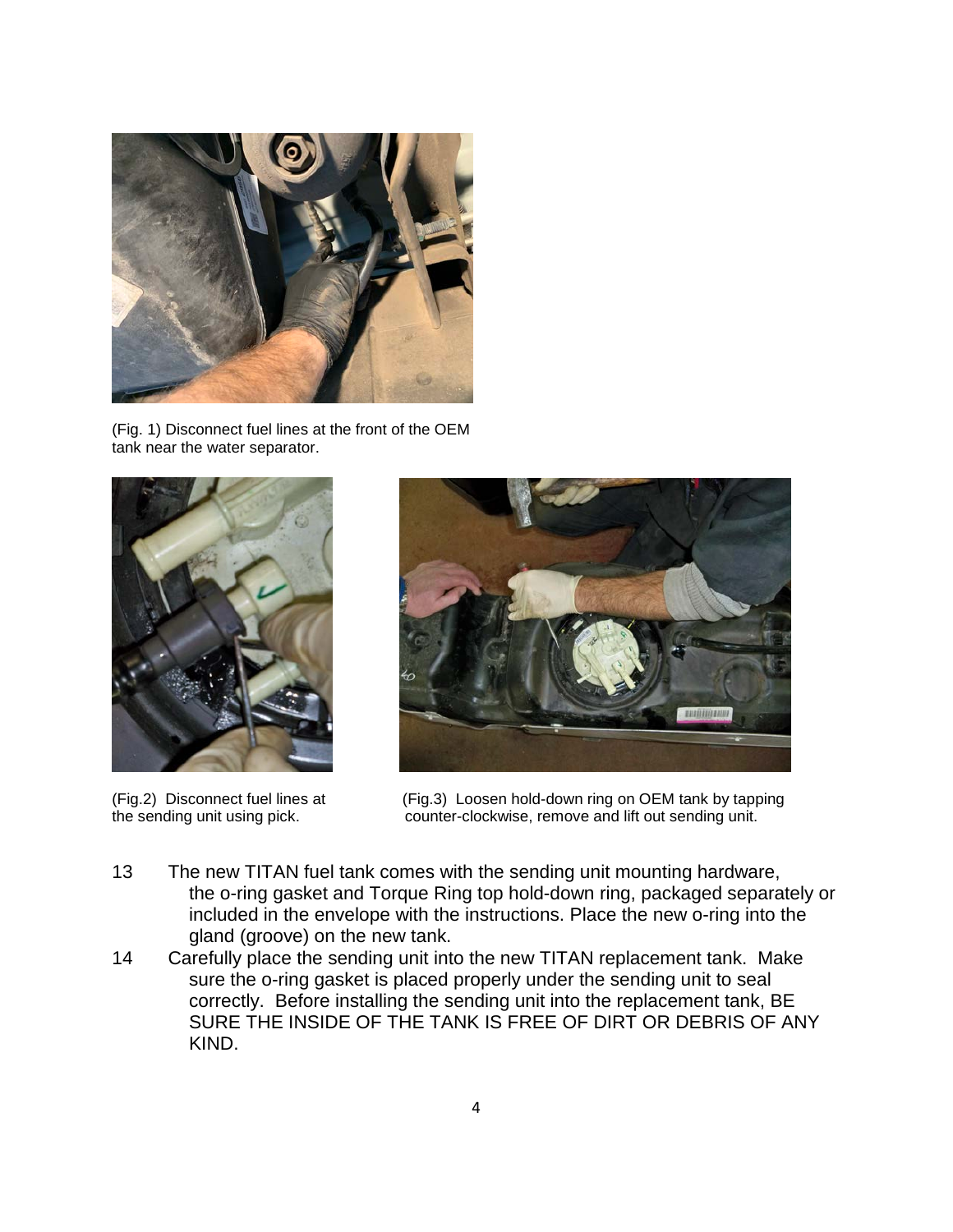

(Fig. 1) Disconnect fuel lines at the front of the OEM tank near the water separator.





(Fig.2) Disconnect fuel lines at (Fig.3) Loosen hold-down ring on OEM tank by tapping the sending unit using pick. counter-clockwise, remove and lift out sending unit.

- 13 The new TITAN fuel tank comes with the sending unit mounting hardware, the o-ring gasket and Torque Ring top hold-down ring, packaged separately or included in the envelope with the instructions. Place the new o-ring into the gland (groove) on the new tank.
- 14 Carefully place the sending unit into the new TITAN replacement tank. Make sure the o-ring gasket is placed properly under the sending unit to seal correctly. Before installing the sending unit into the replacement tank, BE SURE THE INSIDE OF THE TANK IS FREE OF DIRT OR DEBRIS OF ANY KIND.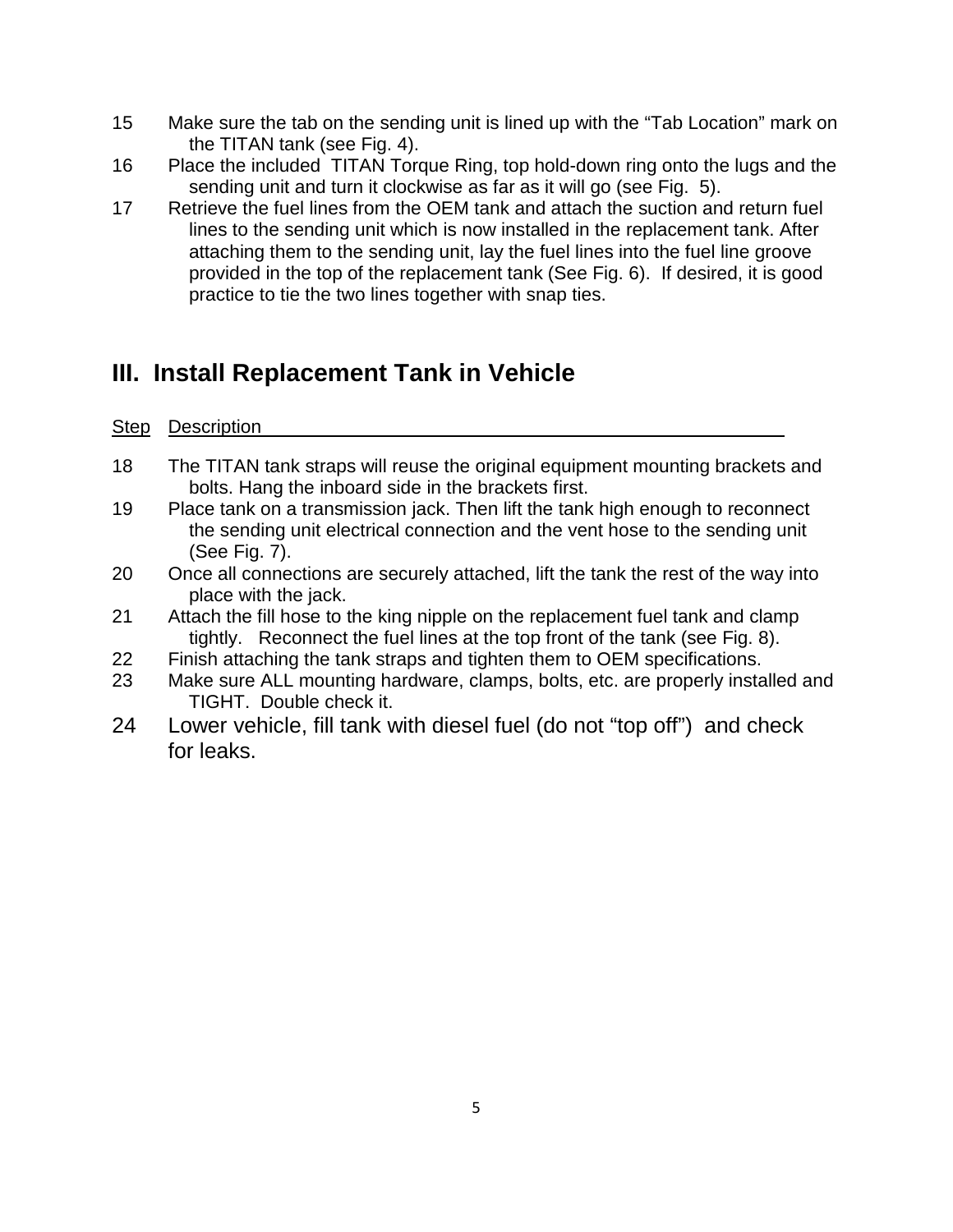- 15 Make sure the tab on the sending unit is lined up with the "Tab Location" mark on the TITAN tank (see Fig. 4).
- 16 Place the included TITAN Torque Ring, top hold-down ring onto the lugs and the sending unit and turn it clockwise as far as it will go (see Fig. 5).
- 17 Retrieve the fuel lines from the OEM tank and attach the suction and return fuel lines to the sending unit which is now installed in the replacement tank. After attaching them to the sending unit, lay the fuel lines into the fuel line groove provided in the top of the replacement tank (See Fig. 6). If desired, it is good practice to tie the two lines together with snap ties.

# **III. Install Replacement Tank in Vehicle**

### Step Description

- 18 The TITAN tank straps will reuse the original equipment mounting brackets and bolts. Hang the inboard side in the brackets first.
- 19 Place tank on a transmission jack. Then lift the tank high enough to reconnect the sending unit electrical connection and the vent hose to the sending unit (See Fig. 7).
- 20 Once all connections are securely attached, lift the tank the rest of the way into place with the jack.
- 21 Attach the fill hose to the king nipple on the replacement fuel tank and clamp tightly. Reconnect the fuel lines at the top front of the tank (see Fig. 8).
- 22 Finish attaching the tank straps and tighten them to OEM specifications.
- 23 Make sure ALL mounting hardware, clamps, bolts, etc. are properly installed and TIGHT. Double check it.
- 24 Lower vehicle, fill tank with diesel fuel (do not "top off") and check for leaks.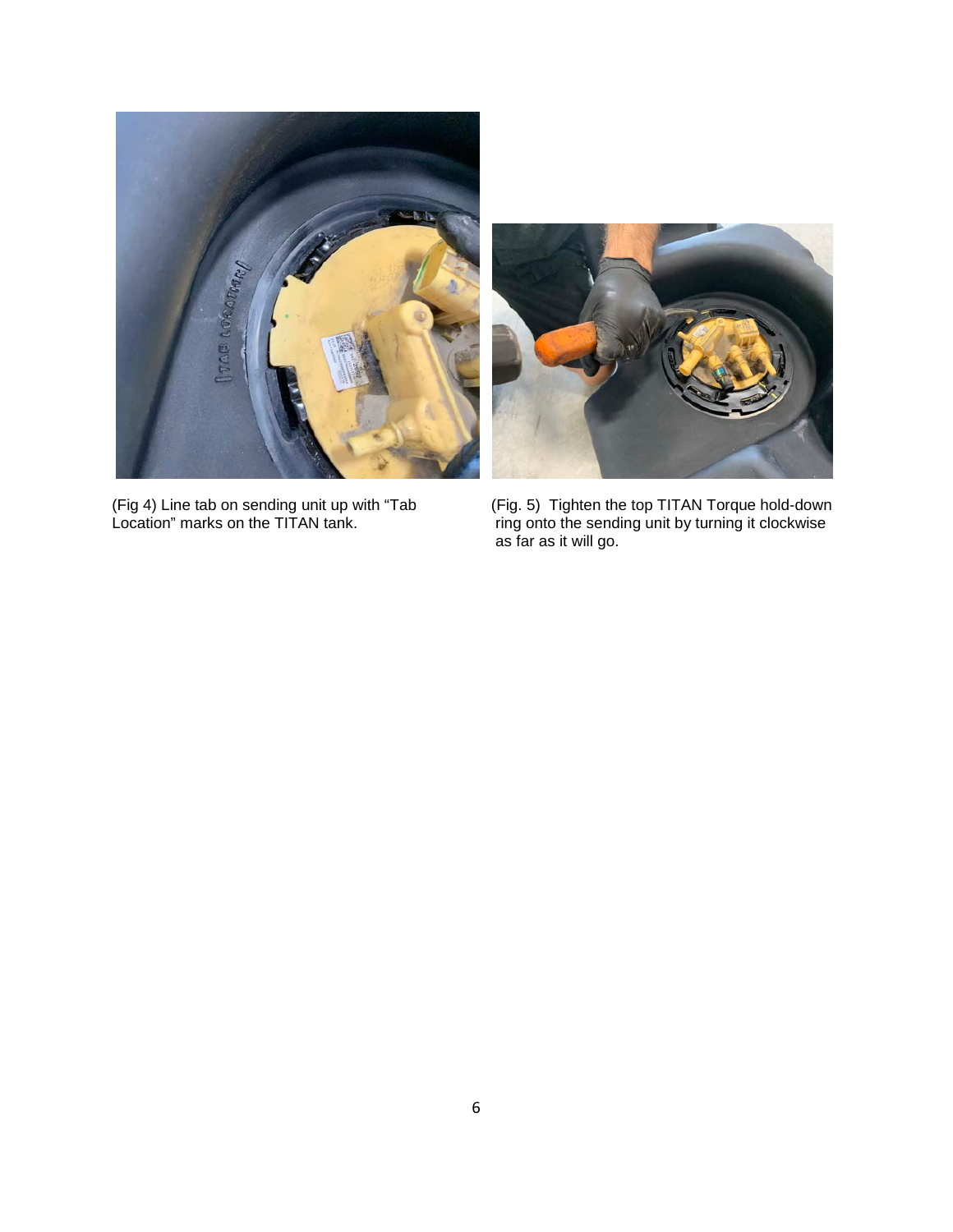



(Fig 4) Line tab on sending unit up with "Tab (Fig. 5) Tighten the top TITAN Torque hold-down Location" marks on the TITAN tank. ring onto the sending unit by turning it clockwise as far as it will go.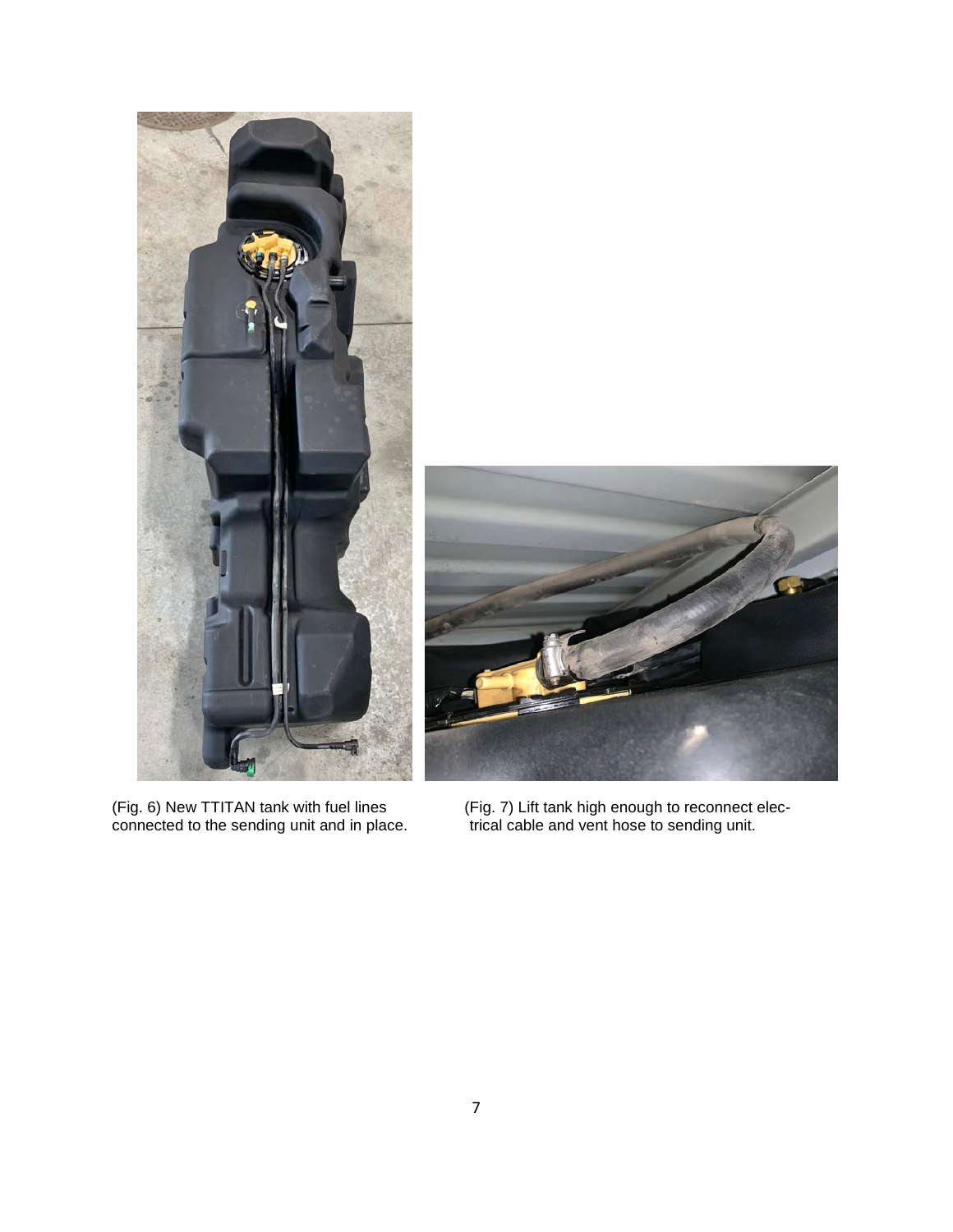

(Fig. 6) New TTITAN tank with fuel lines connected to the sending unit and in place.

(Fig. 7) Lift tank high enough to reconnect electrical cable and vent hose to sending unit.